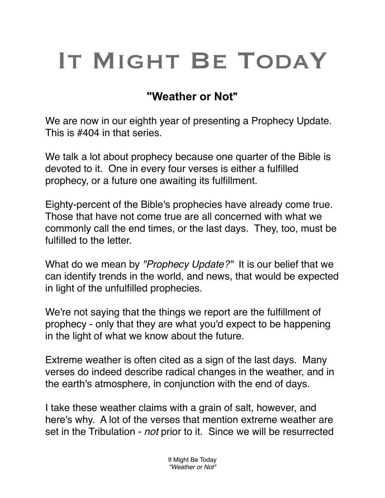## IT MIGHT BE TODAY

## **"Weather or Not"**

We are now in our eighth year of presenting a Prophecy Update. This is #404 in that series.

We talk a lot about prophecy because one quarter of the Bible is devoted to it. One in every four verses is either a fulfilled prophecy, or a future one awaiting its fulfillment.

Eighty-percent of the Bible's prophecies have already come true. Those that have not come true are all concerned with what we commonly call the end times, or the last days. They, too, must be fulfilled to the letter.

What do we mean by *"Prophecy Update?"* It is our belief that we can identify trends in the world, and news, that would be expected in light of the unfulfilled prophecies.

We're not saying that the things we report are the fulfillment of prophecy - only that they are what you'd expect to be happening in the light of what we know about the future.

Extreme weather is often cited as a sign of the last days. Many verses do indeed describe radical changes in the weather, and in the earth's atmosphere, in conjunction with the end of days.

I take these weather claims with a grain of salt, however, and here's why. A lot of the verses that mention extreme weather are set in the Tribulation - *not* prior to it. Since we will be resurrected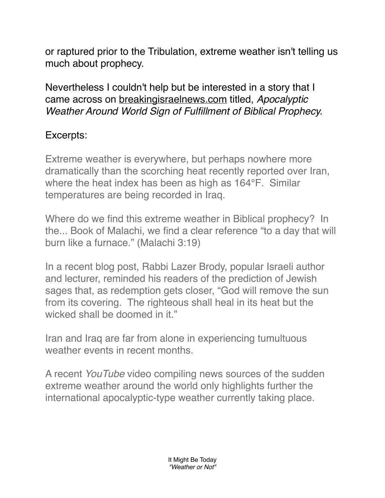or raptured prior to the Tribulation, extreme weather isn't telling us much about prophecy.

Nevertheless I couldn't help but be interested in a story that I came across on [breakingisraelnews.com](http://breakingisraelnews.com) titled, *Apocalyptic Weather Around World Sign of Fulfillment of Biblical Prophecy.*

## Excerpts:

Extreme weather is everywhere, but perhaps nowhere more dramatically than the scorching heat recently reported over Iran, where the heat index has been as high as 164°F. Similar temperatures are being recorded in Iraq.

Where do we find this extreme weather in Biblical prophecy? In the... Book of Malachi, we find a clear reference "to a day that will burn like a furnace." (Malachi 3:19)

In a recent blog post, Rabbi Lazer Brody, popular Israeli author and lecturer, reminded his readers of the prediction of Jewish sages that, as redemption gets closer, "God will remove the sun from its covering. The righteous shall heal in its heat but the wicked shall be doomed in it."

Iran and Iraq are far from alone in experiencing tumultuous weather events in recent months.

A recent *YouTube* video compiling news sources of the sudden extreme weather around the world only highlights further the international apocalyptic-type weather currently taking place.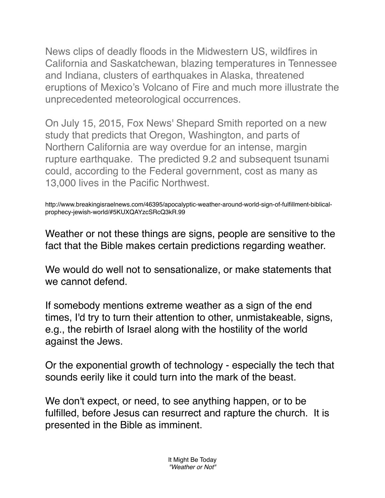News clips of deadly floods in the Midwestern US, wildfires in California and Saskatchewan, blazing temperatures in Tennessee and Indiana, clusters of earthquakes in Alaska, threatened eruptions of Mexico's Volcano of Fire and much more illustrate the unprecedented meteorological occurrences.

On July 15, 2015, Fox News' Shepard Smith reported on a new study that predicts that Oregon, Washington, and parts of Northern California are way overdue for an intense, margin rupture earthquake. The predicted 9.2 and subsequent tsunami could, according to the Federal government, cost as many as 13,000 lives in the Pacific Northwest.

http://www.breakingisraelnews.com/46395/apocalyptic-weather-around-world-sign-of-fulfillment-biblicalprophecy-jewish-world/#5KUXQAYzcSRcQ3kR.99

Weather or not these things are signs, people are sensitive to the fact that the Bible makes certain predictions regarding weather.

We would do well not to sensationalize, or make statements that we cannot defend.

If somebody mentions extreme weather as a sign of the end times, I'd try to turn their attention to other, unmistakeable, signs, e.g., the rebirth of Israel along with the hostility of the world against the Jews.

Or the exponential growth of technology - especially the tech that sounds eerily like it could turn into the mark of the beast.

We don't expect, or need, to see anything happen, or to be fulfilled, before Jesus can resurrect and rapture the church. It is presented in the Bible as imminent.